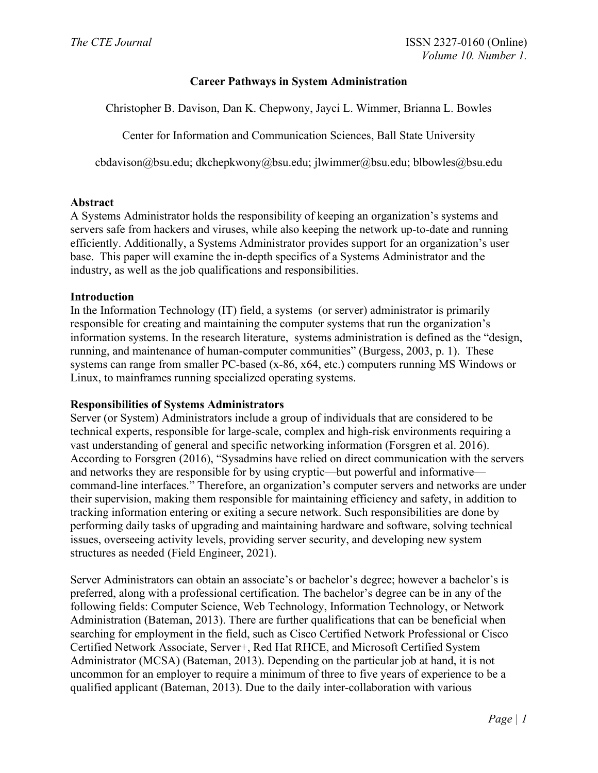# **Career Pathways in System Administration**

Christopher B. Davison, Dan K. Chepwony, Jayci L. Wimmer, Brianna L. Bowles

Center for Information and Communication Sciences, Ball State University

[cbdavison@bsu.edu;](mailto:cbdavison@bsu.edu) [dkchepkwony@bsu.edu;](mailto:dkchepkwony@bsu.edu) jlwimmer@bsu.edu; blbowles@bsu.edu

## **Abstract**

A Systems Administrator holds the responsibility of keeping an organization's systems and servers safe from hackers and viruses, while also keeping the network up-to-date and running efficiently. Additionally, a Systems Administrator provides support for an organization's user base. This paper will examine the in-depth specifics of a Systems Administrator and the industry, as well as the job qualifications and responsibilities.

## **Introduction**

In the Information Technology (IT) field, a systems (or server) administrator is primarily responsible for creating and maintaining the computer systems that run the organization's information systems. In the research literature, systems administration is defined as the "design, running, and maintenance of human-computer communities" (Burgess, 2003, p. 1). These systems can range from smaller PC-based (x-86, x64, etc.) computers running MS Windows or Linux, to mainframes running specialized operating systems.

### **Responsibilities of Systems Administrators**

Server (or System) Administrators include a group of individuals that are considered to be technical experts, responsible for large-scale, complex and high-risk environments requiring a vast understanding of general and specific networking information (Forsgren et al. 2016). According to Forsgren (2016), "Sysadmins have relied on direct communication with the servers and networks they are responsible for by using cryptic—but powerful and informative command-line interfaces." Therefore, an organization's computer servers and networks are under their supervision, making them responsible for maintaining efficiency and safety, in addition to tracking information entering or exiting a secure network. Such responsibilities are done by performing daily tasks of upgrading and maintaining hardware and software, solving technical issues, overseeing activity levels, providing server security, and developing new system structures as needed (Field Engineer, 2021).

Server Administrators can obtain an associate's or bachelor's degree; however a bachelor's is preferred, along with a professional certification. The bachelor's degree can be in any of the following fields: Computer Science, Web Technology, Information Technology, or Network Administration (Bateman, 2013). There are further qualifications that can be beneficial when searching for employment in the field, such as Cisco Certified Network Professional or Cisco Certified Network Associate, Server+, Red Hat RHCE, and Microsoft Certified System Administrator (MCSA) (Bateman, 2013). Depending on the particular job at hand, it is not uncommon for an employer to require a minimum of three to five years of experience to be a qualified applicant (Bateman, 2013). Due to the daily inter-collaboration with various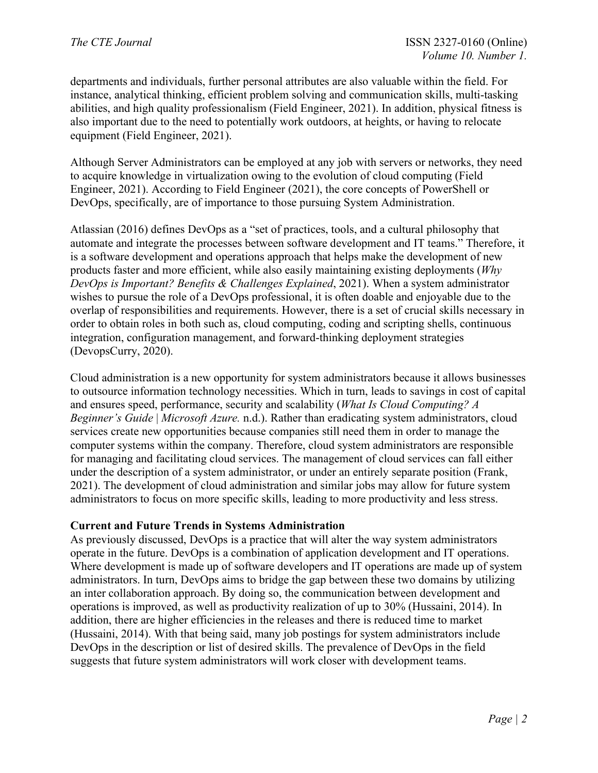departments and individuals, further personal attributes are also valuable within the field. For instance, analytical thinking, efficient problem solving and communication skills, multi-tasking abilities, and high quality professionalism (Field Engineer, 2021). In addition, physical fitness is also important due to the need to potentially work outdoors, at heights, or having to relocate equipment (Field Engineer, 2021).

Although Server Administrators can be employed at any job with servers or networks, they need to acquire knowledge in virtualization owing to the evolution of cloud computing (Field Engineer, 2021). According to Field Engineer (2021), the core concepts of PowerShell or DevOps, specifically, are of importance to those pursuing System Administration.

Atlassian (2016) defines DevOps as a "set of practices, tools, and a cultural philosophy that automate and integrate the processes between software development and IT teams." Therefore, it is a software development and operations approach that helps make the development of new products faster and more efficient, while also easily maintaining existing deployments (*Why DevOps is Important? Benefits & Challenges Explained*, 2021). When a system administrator wishes to pursue the role of a DevOps professional, it is often doable and enjoyable due to the overlap of responsibilities and requirements. However, there is a set of crucial skills necessary in order to obtain roles in both such as, cloud computing, coding and scripting shells, continuous integration, configuration management, and forward-thinking deployment strategies (DevopsCurry, 2020).

Cloud administration is a new opportunity for system administrators because it allows businesses to outsource information technology necessities. Which in turn, leads to savings in cost of capital and ensures speed, performance, security and scalability (*What Is Cloud Computing? A Beginner's Guide* | *Microsoft Azure.* n.d.). Rather than eradicating system administrators, cloud services create new opportunities because companies still need them in order to manage the computer systems within the company. Therefore, cloud system administrators are responsible for managing and facilitating cloud services. The management of cloud services can fall either under the description of a system administrator, or under an entirely separate position (Frank, 2021). The development of cloud administration and similar jobs may allow for future system administrators to focus on more specific skills, leading to more productivity and less stress.

### **Current and Future Trends in Systems Administration**

As previously discussed, DevOps is a practice that will alter the way system administrators operate in the future. DevOps is a combination of application development and IT operations. Where development is made up of software developers and IT operations are made up of system administrators. In turn, DevOps aims to bridge the gap between these two domains by utilizing an inter collaboration approach. By doing so, the communication between development and operations is improved, as well as productivity realization of up to 30% (Hussaini, 2014). In addition, there are higher efficiencies in the releases and there is reduced time to market (Hussaini, 2014). With that being said, many job postings for system administrators include DevOps in the description or list of desired skills. The prevalence of DevOps in the field suggests that future system administrators will work closer with development teams.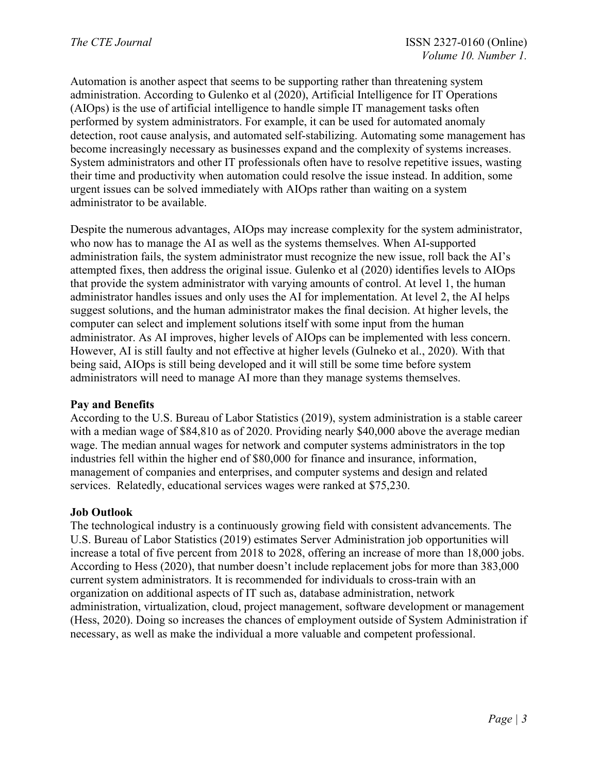Automation is another aspect that seems to be supporting rather than threatening system administration. According to Gulenko et al (2020), Artificial Intelligence for IT Operations (AIOps) is the use of artificial intelligence to handle simple IT management tasks often performed by system administrators. For example, it can be used for automated anomaly detection, root cause analysis, and automated self-stabilizing. Automating some management has become increasingly necessary as businesses expand and the complexity of systems increases. System administrators and other IT professionals often have to resolve repetitive issues, wasting their time and productivity when automation could resolve the issue instead. In addition, some urgent issues can be solved immediately with AIOps rather than waiting on a system administrator to be available.

Despite the numerous advantages, AIOps may increase complexity for the system administrator, who now has to manage the AI as well as the systems themselves. When AI-supported administration fails, the system administrator must recognize the new issue, roll back the AI's attempted fixes, then address the original issue. Gulenko et al (2020) identifies levels to AIOps that provide the system administrator with varying amounts of control. At level 1, the human administrator handles issues and only uses the AI for implementation. At level 2, the AI helps suggest solutions, and the human administrator makes the final decision. At higher levels, the computer can select and implement solutions itself with some input from the human administrator. As AI improves, higher levels of AIOps can be implemented with less concern. However, AI is still faulty and not effective at higher levels (Gulneko et al., 2020). With that being said, AIOps is still being developed and it will still be some time before system administrators will need to manage AI more than they manage systems themselves.

### **Pay and Benefits**

According to the U.S. Bureau of Labor Statistics (2019), system administration is a stable career with a median wage of \$84,810 as of 2020. Providing nearly \$40,000 above the average median wage. The median annual wages for network and computer systems administrators in the top industries fell within the higher end of \$80,000 for finance and insurance, information, management of companies and enterprises, and computer systems and design and related services. Relatedly, educational services wages were ranked at \$75,230.

### **Job Outlook**

The technological industry is a continuously growing field with consistent advancements. The U.S. Bureau of Labor Statistics (2019) estimates Server Administration job opportunities will increase a total of five percent from 2018 to 2028, offering an increase of more than 18,000 jobs. According to Hess (2020), that number doesn't include replacement jobs for more than 383,000 current system administrators. It is recommended for individuals to cross-train with an organization on additional aspects of IT such as, database administration, network administration, virtualization, cloud, project management, software development or management (Hess, 2020). Doing so increases the chances of employment outside of System Administration if necessary, as well as make the individual a more valuable and competent professional.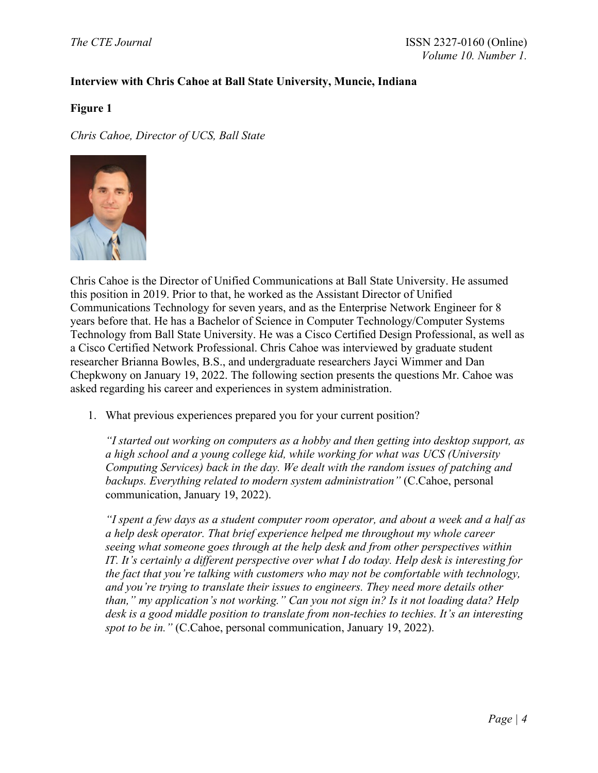# **Interview with Chris Cahoe at Ball State University, Muncie, Indiana**

### **Figure 1**

*Chris Cahoe, Director of UCS, Ball State* 



Chris Cahoe is the Director of Unified Communications at Ball State University. He assumed this position in 2019. Prior to that, he worked as the Assistant Director of Unified Communications Technology for seven years, and as the Enterprise Network Engineer for 8 years before that. He has a Bachelor of Science in Computer Technology/Computer Systems Technology from Ball State University. He was a Cisco Certified Design Professional, as well as a Cisco Certified Network Professional. Chris Cahoe was interviewed by graduate student researcher Brianna Bowles, B.S., and undergraduate researchers Jayci Wimmer and Dan Chepkwony on January 19, 2022. The following section presents the questions Mr. Cahoe was asked regarding his career and experiences in system administration.

1. What previous experiences prepared you for your current position?

*"I started out working on computers as a hobby and then getting into desktop support, as a high school and a young college kid, while working for what was UCS (University Computing Services) back in the day. We dealt with the random issues of patching and backups. Everything related to modern system administration"* (C.Cahoe, personal communication, January 19, 2022).

*"I spent a few days as a student computer room operator, and about a week and a half as a help desk operator. That brief experience helped me throughout my whole career seeing what someone goes through at the help desk and from other perspectives within IT. It's certainly a different perspective over what I do today. Help desk is interesting for the fact that you're talking with customers who may not be comfortable with technology, and you're trying to translate their issues to engineers. They need more details other than," my application's not working." Can you not sign in? Is it not loading data? Help desk is a good middle position to translate from non-techies to techies. It's an interesting spot to be in."* (C.Cahoe, personal communication, January 19, 2022).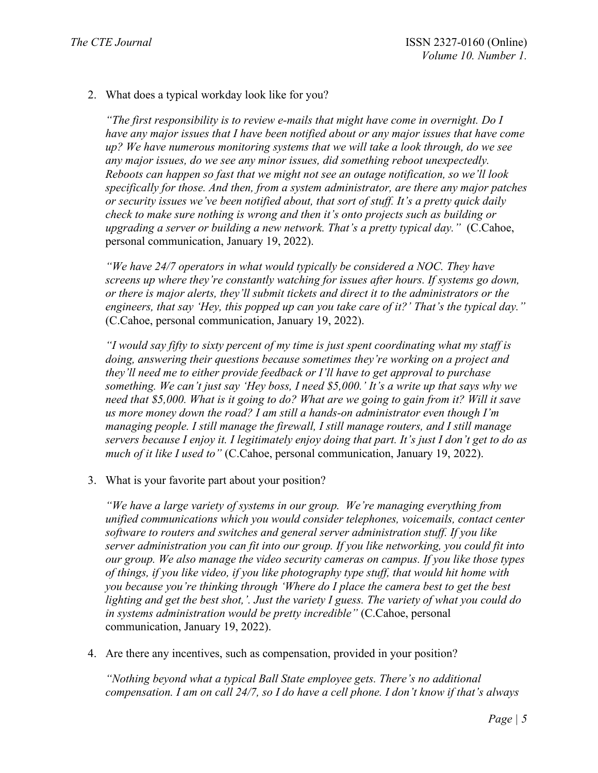2. What does a typical workday look like for you?

*"The first responsibility is to review e-mails that might have come in overnight. Do I have any major issues that I have been notified about or any major issues that have come up? We have numerous monitoring systems that we will take a look through, do we see any major issues, do we see any minor issues, did something reboot unexpectedly. Reboots can happen so fast that we might not see an outage notification, so we'll look specifically for those. And then, from a system administrator, are there any major patches or security issues we've been notified about, that sort of stuff. It's a pretty quick daily check to make sure nothing is wrong and then it's onto projects such as building or upgrading a server or building a new network. That's a pretty typical day."* (C.Cahoe, personal communication, January 19, 2022).

*"We have 24/7 operators in what would typically be considered a NOC. They have screens up where they're constantly watching for issues after hours. If systems go down, or there is major alerts, they'll submit tickets and direct it to the administrators or the engineers, that say 'Hey, this popped up can you take care of it?' That's the typical day."*  (C.Cahoe, personal communication, January 19, 2022).

*"I would say fifty to sixty percent of my time is just spent coordinating what my staff is doing, answering their questions because sometimes they're working on a project and they'll need me to either provide feedback or I'll have to get approval to purchase something. We can't just say 'Hey boss, I need \$5,000.' It's a write up that says why we need that \$5,000. What is it going to do? What are we going to gain from it? Will it save us more money down the road? I am still a hands-on administrator even though I'm managing people. I still manage the firewall, I still manage routers, and I still manage servers because I enjoy it. I legitimately enjoy doing that part. It's just I don't get to do as much of it like I used to"* (C.Cahoe, personal communication, January 19, 2022).

3. What is your favorite part about your position?

*"We have a large variety of systems in our group. We're managing everything from unified communications which you would consider telephones, voicemails, contact center software to routers and switches and general server administration stuff. If you like server administration you can fit into our group. If you like networking, you could fit into our group. We also manage the video security cameras on campus. If you like those types of things, if you like video, if you like photography type stuff, that would hit home with you because you're thinking through 'Where do I place the camera best to get the best lighting and get the best shot,'. Just the variety I guess. The variety of what you could do in systems administration would be pretty incredible"* (C.Cahoe, personal communication, January 19, 2022).

4. Are there any incentives, such as compensation, provided in your position?

*"Nothing beyond what a typical Ball State employee gets. There's no additional compensation. I am on call 24/7, so I do have a cell phone. I don't know if that's always*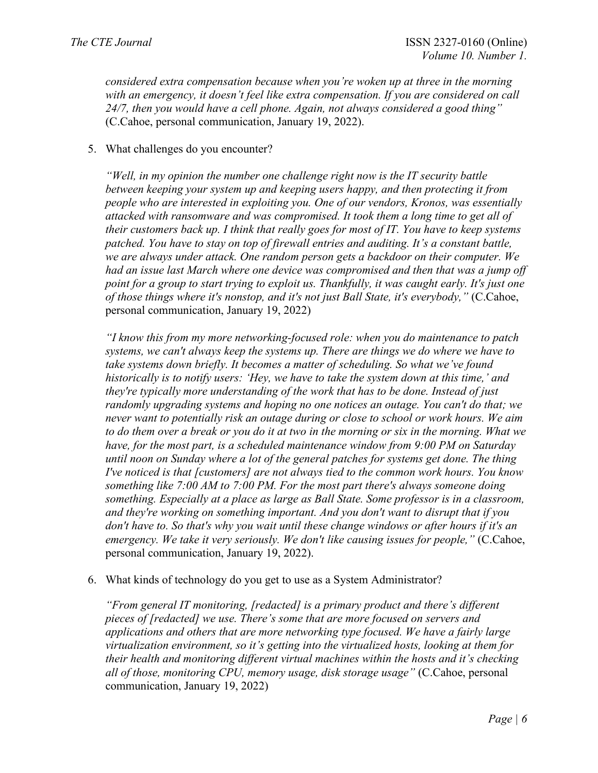*considered extra compensation because when you're woken up at three in the morning with an emergency, it doesn't feel like extra compensation. If you are considered on call 24/7, then you would have a cell phone. Again, not always considered a good thing"* (C.Cahoe, personal communication, January 19, 2022).

### 5. What challenges do you encounter?

*"Well, in my opinion the number one challenge right now is the IT security battle between keeping your system up and keeping users happy, and then protecting it from people who are interested in exploiting you. One of our vendors, Kronos, was essentially attacked with ransomware and was compromised. It took them a long time to get all of their customers back up. I think that really goes for most of IT. You have to keep systems patched. You have to stay on top of firewall entries and auditing. It's a constant battle, we are always under attack. One random person gets a backdoor on their computer. We had an issue last March where one device was compromised and then that was a jump off point for a group to start trying to exploit us. Thankfully, it was caught early. It's just one of those things where it's nonstop, and it's not just Ball State, it's everybody,"* (C.Cahoe, personal communication, January 19, 2022)

*"I know this from my more networking-focused role: when you do maintenance to patch systems, we can't always keep the systems up. There are things we do where we have to take systems down briefly. It becomes a matter of scheduling. So what we've found historically is to notify users: 'Hey, we have to take the system down at this time,' and they're typically more understanding of the work that has to be done. Instead of just randomly upgrading systems and hoping no one notices an outage. You can't do that; we never want to potentially risk an outage during or close to school or work hours. We aim to do them over a break or you do it at two in the morning or six in the morning. What we have, for the most part, is a scheduled maintenance window from 9:00 PM on Saturday until noon on Sunday where a lot of the general patches for systems get done. The thing I've noticed is that [customers] are not always tied to the common work hours. You know something like 7:00 AM to 7:00 PM. For the most part there's always someone doing something. Especially at a place as large as Ball State. Some professor is in a classroom, and they're working on something important. And you don't want to disrupt that if you don't have to. So that's why you wait until these change windows or after hours if it's an emergency. We take it very seriously. We don't like causing issues for people,"* (C.Cahoe, personal communication, January 19, 2022).

#### 6. What kinds of technology do you get to use as a System Administrator?

*"From general IT monitoring, [redacted] is a primary product and there's different pieces of [redacted] we use. There's some that are more focused on servers and applications and others that are more networking type focused. We have a fairly large virtualization environment, so it's getting into the virtualized hosts, looking at them for their health and monitoring different virtual machines within the hosts and it's checking all of those, monitoring CPU, memory usage, disk storage usage"* (C.Cahoe, personal communication, January 19, 2022)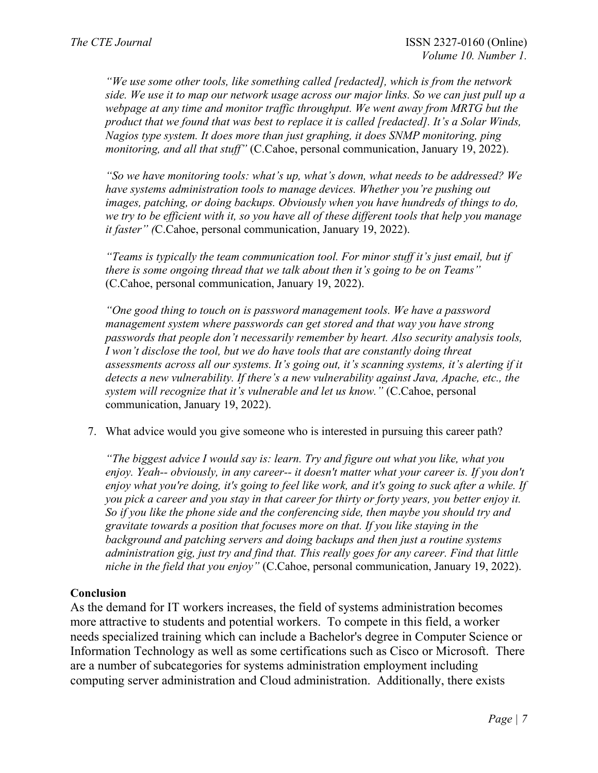*"We use some other tools, like something called [redacted], which is from the network side. We use it to map our network usage across our major links. So we can just pull up a*  webpage at any time and monitor traffic throughput. We went away from MRTG but the *product that we found that was best to replace it is called [redacted]. It's a Solar Winds, Nagios type system. It does more than just graphing, it does SNMP monitoring, ping monitoring, and all that stuff"* (C.Cahoe, personal communication, January 19, 2022).

*"So we have monitoring tools: what's up, what's down, what needs to be addressed? We have systems administration tools to manage devices. Whether you're pushing out images, patching, or doing backups. Obviously when you have hundreds of things to do, we try to be efficient with it, so you have all of these different tools that help you manage it faster" (*C.Cahoe, personal communication, January 19, 2022).

*"Teams is typically the team communication tool. For minor stuff it's just email, but if there is some ongoing thread that we talk about then it's going to be on Teams"* (C.Cahoe, personal communication, January 19, 2022).

*"One good thing to touch on is password management tools. We have a password management system where passwords can get stored and that way you have strong passwords that people don't necessarily remember by heart. Also security analysis tools, I won't disclose the tool, but we do have tools that are constantly doing threat assessments across all our systems. It's going out, it's scanning systems, it's alerting if it detects a new vulnerability. If there's a new vulnerability against Java, Apache, etc., the system will recognize that it's vulnerable and let us know."* (C.Cahoe, personal communication, January 19, 2022).

7. What advice would you give someone who is interested in pursuing this career path?

*"The biggest advice I would say is: learn. Try and figure out what you like, what you enjoy. Yeah-- obviously, in any career-- it doesn't matter what your career is. If you don't enjoy what you're doing, it's going to feel like work, and it's going to suck after a while. If you pick a career and you stay in that career for thirty or forty years, you better enjoy it. So if you like the phone side and the conferencing side, then maybe you should try and gravitate towards a position that focuses more on that. If you like staying in the background and patching servers and doing backups and then just a routine systems administration gig, just try and find that. This really goes for any career. Find that little niche in the field that you enjoy"* (C.Cahoe, personal communication, January 19, 2022).

# **Conclusion**

As the demand for IT workers increases, the field of systems administration becomes more attractive to students and potential workers. To compete in this field, a worker needs specialized training which can include a Bachelor's degree in Computer Science or Information Technology as well as some certifications such as Cisco or Microsoft. There are a number of subcategories for systems administration employment including computing server administration and Cloud administration. Additionally, there exists